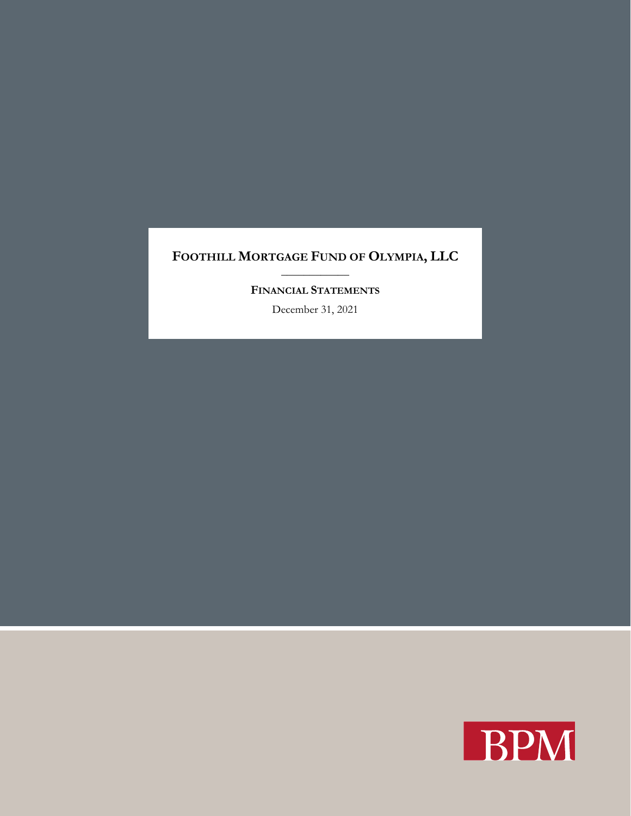# **FOOTHILL MORTGAGE FUND OF OLYMPIA, LLC** \_\_\_\_\_\_\_\_\_\_\_\_

**FINANCIAL STATEMENTS**

December 31, 2021

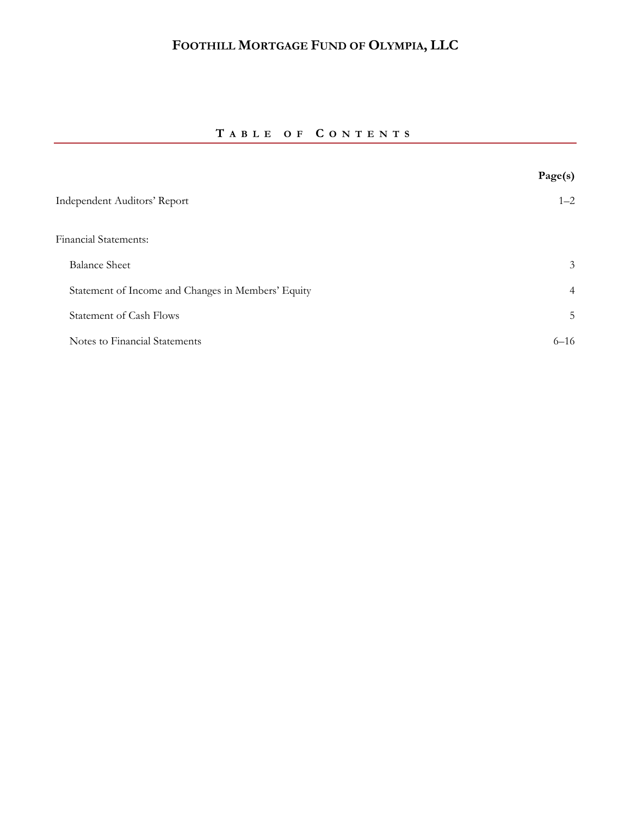# **T ABLE OF C ONTENTS**

|                                                    | Page(s)        |
|----------------------------------------------------|----------------|
| Independent Auditors' Report                       | $1 - 2$        |
| <b>Financial Statements:</b>                       |                |
| <b>Balance Sheet</b>                               | 3              |
| Statement of Income and Changes in Members' Equity | $\overline{4}$ |
| <b>Statement of Cash Flows</b>                     | 5              |
| Notes to Financial Statements                      | $6 - 16$       |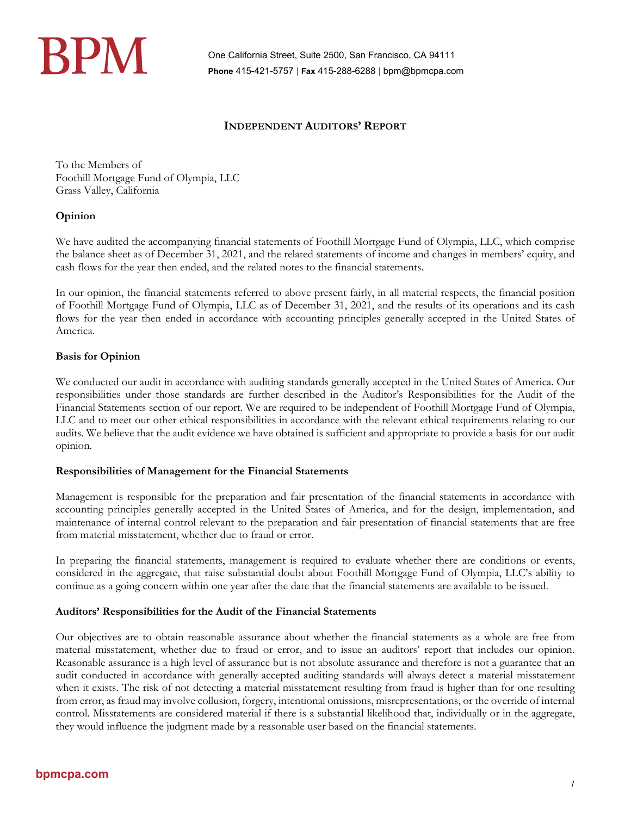

#### **INDEPENDENT AUDITORS' REPORT**

To the Members of Foothill Mortgage Fund of Olympia, LLC Grass Valley, California

#### **Opinion**

We have audited the accompanying financial statements of Foothill Mortgage Fund of Olympia, LLC, which comprise the balance sheet as of December 31, 2021, and the related statements of income and changes in members' equity, and cash flows for the year then ended, and the related notes to the financial statements.

In our opinion, the financial statements referred to above present fairly, in all material respects, the financial position of Foothill Mortgage Fund of Olympia, LLC as of December 31, 2021, and the results of its operations and its cash flows for the year then ended in accordance with accounting principles generally accepted in the United States of America.

#### **Basis for Opinion**

We conducted our audit in accordance with auditing standards generally accepted in the United States of America. Our responsibilities under those standards are further described in the Auditor's Responsibilities for the Audit of the Financial Statements section of our report. We are required to be independent of Foothill Mortgage Fund of Olympia, LLC and to meet our other ethical responsibilities in accordance with the relevant ethical requirements relating to our audits. We believe that the audit evidence we have obtained is sufficient and appropriate to provide a basis for our audit opinion.

#### **Responsibilities of Management for the Financial Statements**

Management is responsible for the preparation and fair presentation of the financial statements in accordance with accounting principles generally accepted in the United States of America, and for the design, implementation, and maintenance of internal control relevant to the preparation and fair presentation of financial statements that are free from material misstatement, whether due to fraud or error.

In preparing the financial statements, management is required to evaluate whether there are conditions or events, considered in the aggregate, that raise substantial doubt about Foothill Mortgage Fund of Olympia, LLC's ability to continue as a going concern within one year after the date that the financial statements are available to be issued.

#### **Auditors' Responsibilities for the Audit of the Financial Statements**

Our objectives are to obtain reasonable assurance about whether the financial statements as a whole are free from material misstatement, whether due to fraud or error, and to issue an auditors' report that includes our opinion. Reasonable assurance is a high level of assurance but is not absolute assurance and therefore is not a guarantee that an audit conducted in accordance with generally accepted auditing standards will always detect a material misstatement when it exists. The risk of not detecting a material misstatement resulting from fraud is higher than for one resulting from error, as fraud may involve collusion, forgery, intentional omissions, misrepresentations, or the override of internal control. Misstatements are considered material if there is a substantial likelihood that, individually or in the aggregate, they would influence the judgment made by a reasonable user based on the financial statements.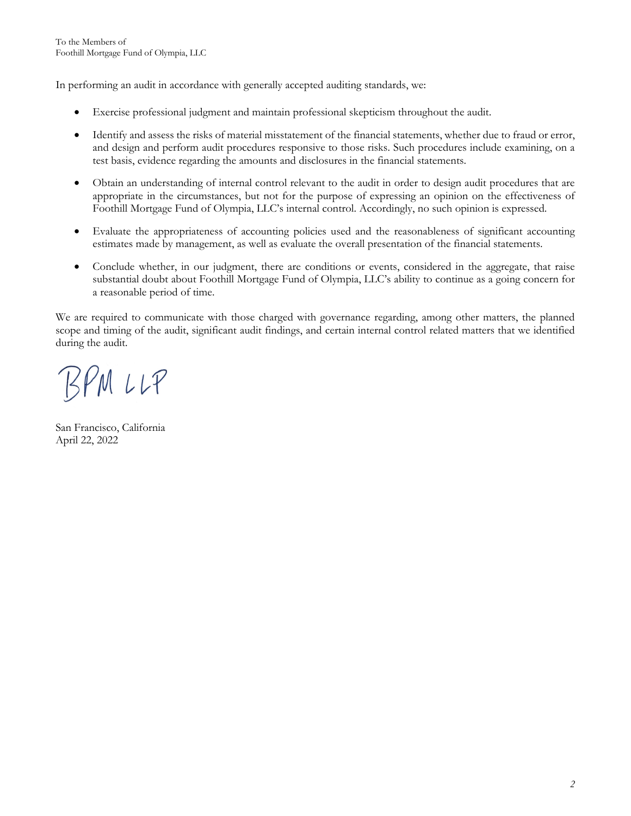In performing an audit in accordance with generally accepted auditing standards, we:

- Exercise professional judgment and maintain professional skepticism throughout the audit.
- Identify and assess the risks of material misstatement of the financial statements, whether due to fraud or error, and design and perform audit procedures responsive to those risks. Such procedures include examining, on a test basis, evidence regarding the amounts and disclosures in the financial statements.
- Obtain an understanding of internal control relevant to the audit in order to design audit procedures that are appropriate in the circumstances, but not for the purpose of expressing an opinion on the effectiveness of Foothill Mortgage Fund of Olympia, LLC's internal control. Accordingly, no such opinion is expressed.
- Evaluate the appropriateness of accounting policies used and the reasonableness of significant accounting estimates made by management, as well as evaluate the overall presentation of the financial statements.
- Conclude whether, in our judgment, there are conditions or events, considered in the aggregate, that raise substantial doubt about Foothill Mortgage Fund of Olympia, LLC's ability to continue as a going concern for a reasonable period of time.

We are required to communicate with those charged with governance regarding, among other matters, the planned scope and timing of the audit, significant audit findings, and certain internal control related matters that we identified during the audit.

BPM LLP

San Francisco, California April 22, 2022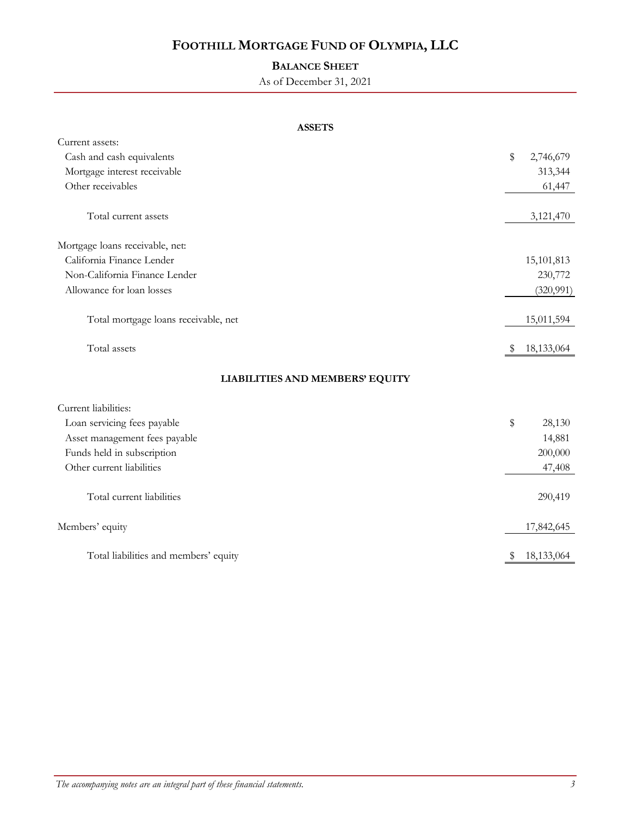#### **BALANCE SHEET**

As of December 31, 2021

#### **ASSETS**

| Current assets:                       |                   |
|---------------------------------------|-------------------|
| Cash and cash equivalents             | \$<br>2,746,679   |
| Mortgage interest receivable          | 313,344           |
| Other receivables                     | 61,447            |
| Total current assets                  | 3,121,470         |
| Mortgage loans receivable, net:       |                   |
| California Finance Lender             | 15,101,813        |
| Non-California Finance Lender         | 230,772           |
| Allowance for loan losses             | (320, 991)        |
| Total mortgage loans receivable, net  | 15,011,594        |
| Total assets                          | 18, 133, 064<br>S |
| LIABILITIES AND MEMBERS' EQUITY       |                   |
| Current liabilities:                  |                   |
| Loan servicing fees payable           | \$<br>28,130      |
| Asset management fees payable         | 14,881            |
| Funds held in subscription            | 200,000           |
| Other current liabilities             | 47,408            |
| Total current liabilities             | 290,419           |
| Members' equity                       | 17,842,645        |
| Total liabilities and members' equity | \$<br>18,133,064  |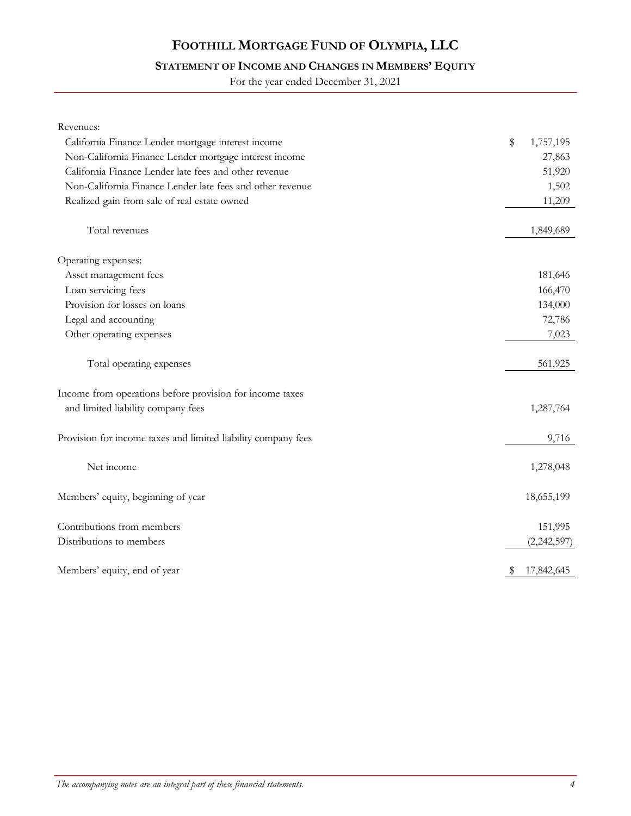### **STATEMENT OF INCOME AND CHANGES IN MEMBERS' EQUITY**

For the year ended December 31, 2021

| Revenues:                                                     |                  |
|---------------------------------------------------------------|------------------|
| California Finance Lender mortgage interest income            | \$<br>1,757,195  |
| Non-California Finance Lender mortgage interest income        | 27,863           |
| California Finance Lender late fees and other revenue         | 51,920           |
| Non-California Finance Lender late fees and other revenue     | 1,502            |
| Realized gain from sale of real estate owned                  | 11,209           |
| Total revenues                                                | 1,849,689        |
| Operating expenses:                                           |                  |
| Asset management fees                                         | 181,646          |
| Loan servicing fees                                           | 166,470          |
| Provision for losses on loans                                 | 134,000          |
| Legal and accounting                                          | 72,786           |
| Other operating expenses                                      | 7,023            |
| Total operating expenses                                      | 561,925          |
| Income from operations before provision for income taxes      |                  |
| and limited liability company fees                            | 1,287,764        |
| Provision for income taxes and limited liability company fees | 9,716            |
| Net income                                                    | 1,278,048        |
| Members' equity, beginning of year                            | 18,655,199       |
| Contributions from members                                    | 151,995          |
| Distributions to members                                      | (2, 242, 597)    |
| Members' equity, end of year                                  | 17,842,645<br>\$ |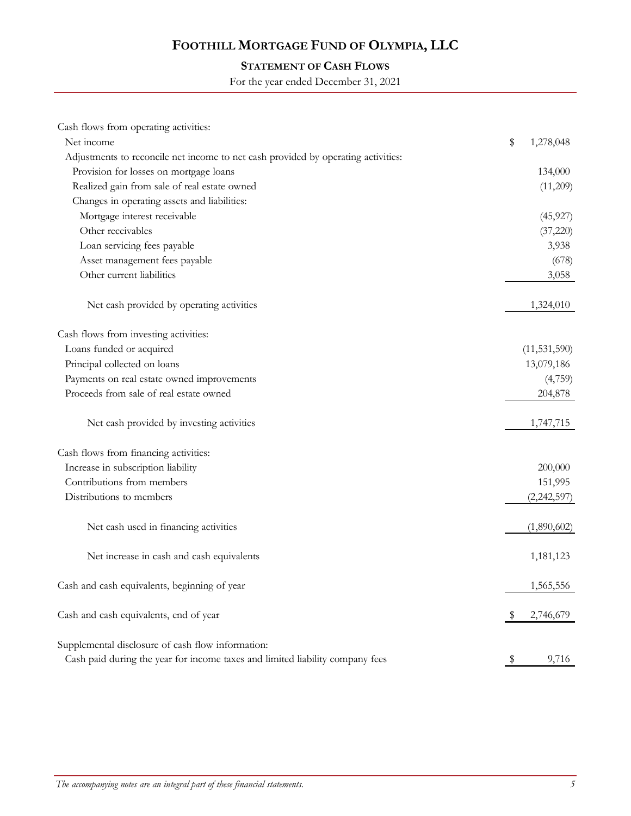### **STATEMENT OF CASH FLOWS**

For the year ended December 31, 2021

| Cash flows from operating activities:                                             |                 |
|-----------------------------------------------------------------------------------|-----------------|
| Net income                                                                        | \$<br>1,278,048 |
| Adjustments to reconcile net income to net cash provided by operating activities: |                 |
| Provision for losses on mortgage loans                                            | 134,000         |
| Realized gain from sale of real estate owned                                      | (11,209)        |
| Changes in operating assets and liabilities:                                      |                 |
| Mortgage interest receivable                                                      | (45, 927)       |
| Other receivables                                                                 | (37,220)        |
| Loan servicing fees payable                                                       | 3,938           |
| Asset management fees payable                                                     | (678)           |
| Other current liabilities                                                         | 3,058           |
| Net cash provided by operating activities                                         | 1,324,010       |
| Cash flows from investing activities:                                             |                 |
| Loans funded or acquired                                                          | (11, 531, 590)  |
| Principal collected on loans                                                      | 13,079,186      |
| Payments on real estate owned improvements                                        | (4,759)         |
| Proceeds from sale of real estate owned                                           | 204,878         |
| Net cash provided by investing activities                                         | 1,747,715       |
| Cash flows from financing activities:                                             |                 |
| Increase in subscription liability                                                | 200,000         |
| Contributions from members                                                        | 151,995         |
| Distributions to members                                                          | (2, 242, 597)   |
| Net cash used in financing activities                                             | (1,890,602)     |
| Net increase in cash and cash equivalents                                         | 1,181,123       |
| Cash and cash equivalents, beginning of year                                      | 1,565,556       |
| Cash and cash equivalents, end of year                                            | 2,746,679       |
| Supplemental disclosure of cash flow information:                                 |                 |
| Cash paid during the year for income taxes and limited liability company fees     | 9,716           |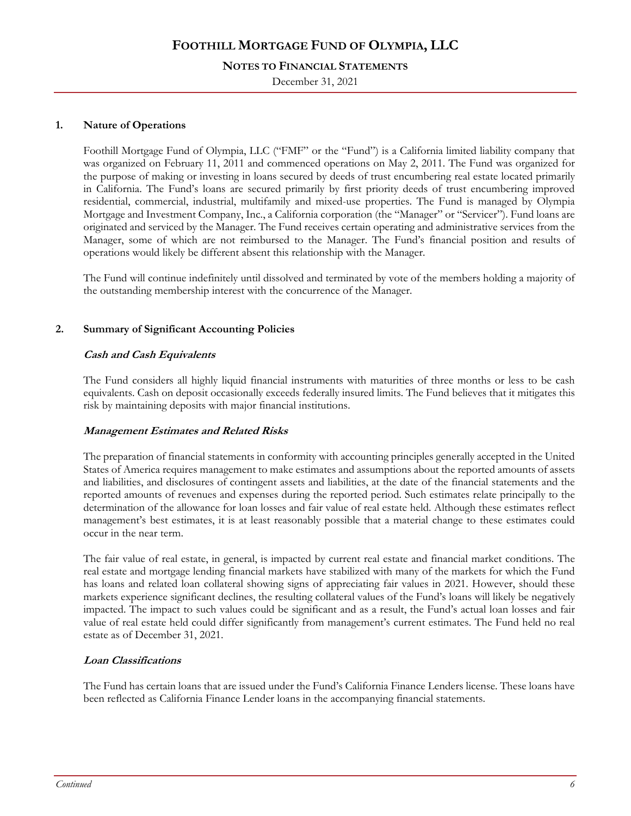#### **NOTES TO FINANCIAL STATEMENTS**

December 31, 2021

#### **1. Nature of Operations**

Foothill Mortgage Fund of Olympia, LLC ("FMF" or the "Fund") is a California limited liability company that was organized on February 11, 2011 and commenced operations on May 2, 2011. The Fund was organized for the purpose of making or investing in loans secured by deeds of trust encumbering real estate located primarily in California. The Fund's loans are secured primarily by first priority deeds of trust encumbering improved residential, commercial, industrial, multifamily and mixed-use properties. The Fund is managed by Olympia Mortgage and Investment Company, Inc., a California corporation (the "Manager" or "Servicer"). Fund loans are originated and serviced by the Manager. The Fund receives certain operating and administrative services from the Manager, some of which are not reimbursed to the Manager. The Fund's financial position and results of operations would likely be different absent this relationship with the Manager.

The Fund will continue indefinitely until dissolved and terminated by vote of the members holding a majority of the outstanding membership interest with the concurrence of the Manager.

#### **2. Summary of Significant Accounting Policies**

#### **Cash and Cash Equivalents**

The Fund considers all highly liquid financial instruments with maturities of three months or less to be cash equivalents. Cash on deposit occasionally exceeds federally insured limits. The Fund believes that it mitigates this risk by maintaining deposits with major financial institutions.

#### **Management Estimates and Related Risks**

The preparation of financial statements in conformity with accounting principles generally accepted in the United States of America requires management to make estimates and assumptions about the reported amounts of assets and liabilities, and disclosures of contingent assets and liabilities, at the date of the financial statements and the reported amounts of revenues and expenses during the reported period. Such estimates relate principally to the determination of the allowance for loan losses and fair value of real estate held. Although these estimates reflect management's best estimates, it is at least reasonably possible that a material change to these estimates could occur in the near term.

The fair value of real estate, in general, is impacted by current real estate and financial market conditions. The real estate and mortgage lending financial markets have stabilized with many of the markets for which the Fund has loans and related loan collateral showing signs of appreciating fair values in 2021. However, should these markets experience significant declines, the resulting collateral values of the Fund's loans will likely be negatively impacted. The impact to such values could be significant and as a result, the Fund's actual loan losses and fair value of real estate held could differ significantly from management's current estimates. The Fund held no real estate as of December 31, 2021.

#### **Loan Classifications**

The Fund has certain loans that are issued under the Fund's California Finance Lenders license. These loans have been reflected as California Finance Lender loans in the accompanying financial statements.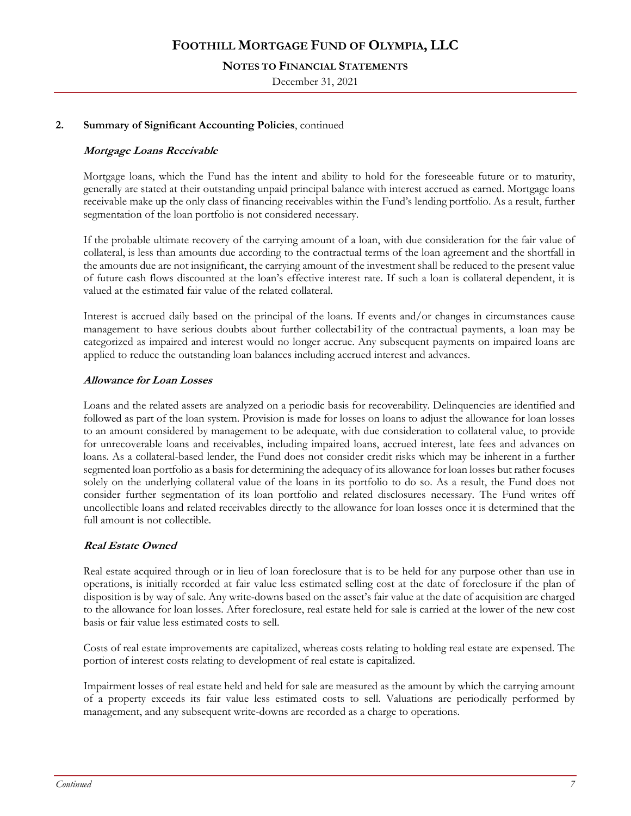#### **NOTES TO FINANCIAL STATEMENTS**

December 31, 2021

#### **2. Summary of Significant Accounting Policies**, continued

#### **Mortgage Loans Receivable**

Mortgage loans, which the Fund has the intent and ability to hold for the foreseeable future or to maturity, generally are stated at their outstanding unpaid principal balance with interest accrued as earned. Mortgage loans receivable make up the only class of financing receivables within the Fund's lending portfolio. As a result, further segmentation of the loan portfolio is not considered necessary.

If the probable ultimate recovery of the carrying amount of a loan, with due consideration for the fair value of collateral, is less than amounts due according to the contractual terms of the loan agreement and the shortfall in the amounts due are not insignificant, the carrying amount of the investment shall be reduced to the present value of future cash flows discounted at the loan's effective interest rate. If such a loan is collateral dependent, it is valued at the estimated fair value of the related collateral.

Interest is accrued daily based on the principal of the loans. If events and/or changes in circumstances cause management to have serious doubts about further collectabi1ity of the contractual payments, a loan may be categorized as impaired and interest would no longer accrue. Any subsequent payments on impaired loans are applied to reduce the outstanding loan balances including accrued interest and advances.

#### **Allowance for Loan Losses**

Loans and the related assets are analyzed on a periodic basis for recoverability. Delinquencies are identified and followed as part of the loan system. Provision is made for losses on loans to adjust the allowance for loan losses to an amount considered by management to be adequate, with due consideration to collateral value, to provide for unrecoverable loans and receivables, including impaired loans, accrued interest, late fees and advances on loans. As a collateral-based lender, the Fund does not consider credit risks which may be inherent in a further segmented loan portfolio as a basis for determining the adequacy of its allowance for loan losses but rather focuses solely on the underlying collateral value of the loans in its portfolio to do so. As a result, the Fund does not consider further segmentation of its loan portfolio and related disclosures necessary. The Fund writes off uncollectible loans and related receivables directly to the allowance for loan losses once it is determined that the full amount is not collectible.

#### **Real Estate Owned**

Real estate acquired through or in lieu of loan foreclosure that is to be held for any purpose other than use in operations, is initially recorded at fair value less estimated selling cost at the date of foreclosure if the plan of disposition is by way of sale. Any write-downs based on the asset's fair value at the date of acquisition are charged to the allowance for loan losses. After foreclosure, real estate held for sale is carried at the lower of the new cost basis or fair value less estimated costs to sell.

Costs of real estate improvements are capitalized, whereas costs relating to holding real estate are expensed. The portion of interest costs relating to development of real estate is capitalized.

Impairment losses of real estate held and held for sale are measured as the amount by which the carrying amount of a property exceeds its fair value less estimated costs to sell. Valuations are periodically performed by management, and any subsequent write-downs are recorded as a charge to operations.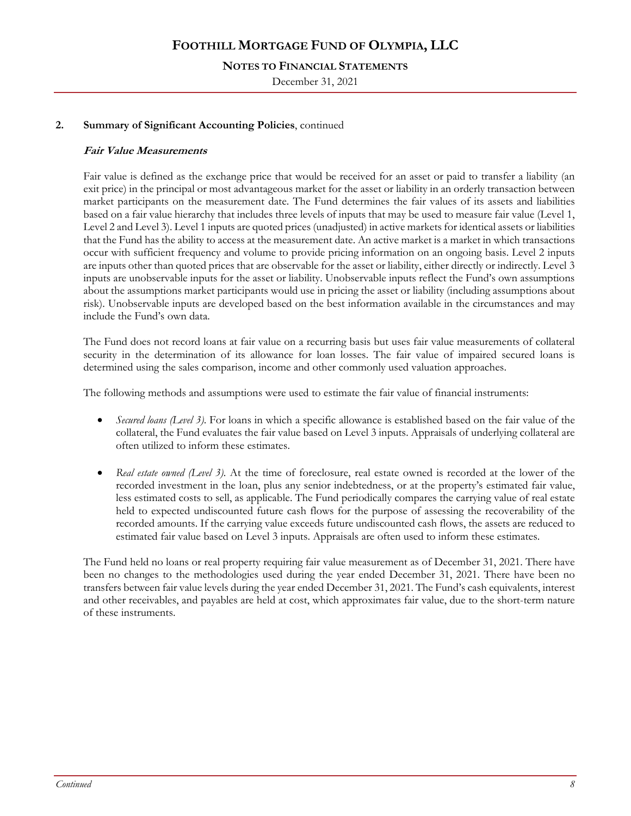#### **NOTES TO FINANCIAL STATEMENTS**

December 31, 2021

#### **2. Summary of Significant Accounting Policies**, continued

#### **Fair Value Measurements**

Fair value is defined as the exchange price that would be received for an asset or paid to transfer a liability (an exit price) in the principal or most advantageous market for the asset or liability in an orderly transaction between market participants on the measurement date. The Fund determines the fair values of its assets and liabilities based on a fair value hierarchy that includes three levels of inputs that may be used to measure fair value (Level 1, Level 2 and Level 3). Level 1 inputs are quoted prices (unadjusted) in active markets for identical assets or liabilities that the Fund has the ability to access at the measurement date. An active market is a market in which transactions occur with sufficient frequency and volume to provide pricing information on an ongoing basis. Level 2 inputs are inputs other than quoted prices that are observable for the asset or liability, either directly or indirectly. Level 3 inputs are unobservable inputs for the asset or liability. Unobservable inputs reflect the Fund's own assumptions about the assumptions market participants would use in pricing the asset or liability (including assumptions about risk). Unobservable inputs are developed based on the best information available in the circumstances and may include the Fund's own data.

The Fund does not record loans at fair value on a recurring basis but uses fair value measurements of collateral security in the determination of its allowance for loan losses. The fair value of impaired secured loans is determined using the sales comparison, income and other commonly used valuation approaches.

The following methods and assumptions were used to estimate the fair value of financial instruments:

- *Secured loans (Level 3)*. For loans in which a specific allowance is established based on the fair value of the collateral, the Fund evaluates the fair value based on Level 3 inputs. Appraisals of underlying collateral are often utilized to inform these estimates.
- *Real estate owned (Level 3)*. At the time of foreclosure, real estate owned is recorded at the lower of the recorded investment in the loan, plus any senior indebtedness, or at the property's estimated fair value, less estimated costs to sell, as applicable. The Fund periodically compares the carrying value of real estate held to expected undiscounted future cash flows for the purpose of assessing the recoverability of the recorded amounts. If the carrying value exceeds future undiscounted cash flows, the assets are reduced to estimated fair value based on Level 3 inputs. Appraisals are often used to inform these estimates.

The Fund held no loans or real property requiring fair value measurement as of December 31, 2021. There have been no changes to the methodologies used during the year ended December 31, 2021. There have been no transfers between fair value levels during the year ended December 31, 2021. The Fund's cash equivalents, interest and other receivables, and payables are held at cost, which approximates fair value, due to the short-term nature of these instruments.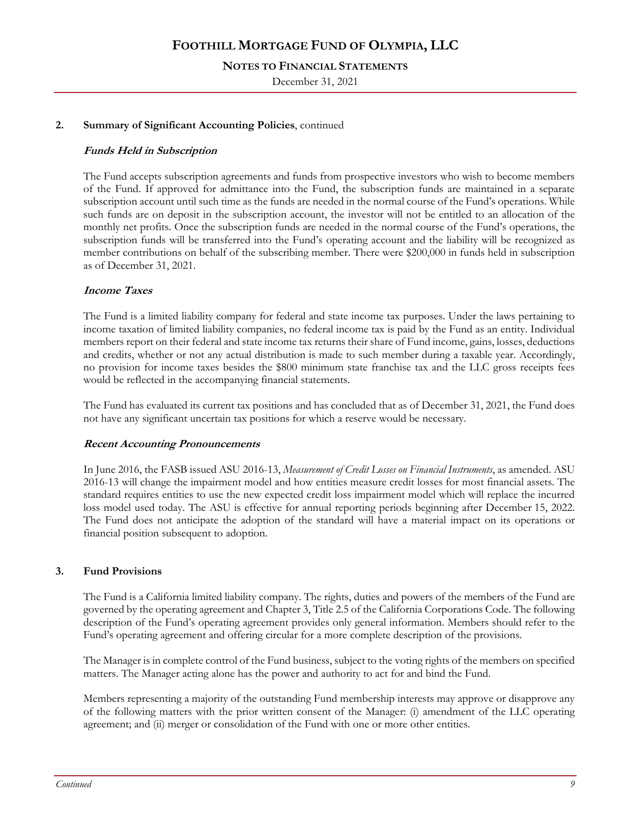#### **NOTES TO FINANCIAL STATEMENTS**

December 31, 2021

#### **2. Summary of Significant Accounting Policies**, continued

#### **Funds Held in Subscription**

The Fund accepts subscription agreements and funds from prospective investors who wish to become members of the Fund. If approved for admittance into the Fund, the subscription funds are maintained in a separate subscription account until such time as the funds are needed in the normal course of the Fund's operations. While such funds are on deposit in the subscription account, the investor will not be entitled to an allocation of the monthly net profits. Once the subscription funds are needed in the normal course of the Fund's operations, the subscription funds will be transferred into the Fund's operating account and the liability will be recognized as member contributions on behalf of the subscribing member. There were \$200,000 in funds held in subscription as of December 31, 2021.

#### **Income Taxes**

The Fund is a limited liability company for federal and state income tax purposes. Under the laws pertaining to income taxation of limited liability companies, no federal income tax is paid by the Fund as an entity. Individual members report on their federal and state income tax returns their share of Fund income, gains, losses, deductions and credits, whether or not any actual distribution is made to such member during a taxable year. Accordingly, no provision for income taxes besides the \$800 minimum state franchise tax and the LLC gross receipts fees would be reflected in the accompanying financial statements.

The Fund has evaluated its current tax positions and has concluded that as of December 31, 2021, the Fund does not have any significant uncertain tax positions for which a reserve would be necessary.

#### **Recent Accounting Pronouncements**

In June 2016, the FASB issued ASU 2016-13, *Measurement of Credit Losses on Financial Instruments*, as amended. ASU 2016-13 will change the impairment model and how entities measure credit losses for most financial assets. The standard requires entities to use the new expected credit loss impairment model which will replace the incurred loss model used today. The ASU is effective for annual reporting periods beginning after December 15, 2022. The Fund does not anticipate the adoption of the standard will have a material impact on its operations or financial position subsequent to adoption.

#### **3. Fund Provisions**

The Fund is a California limited liability company. The rights, duties and powers of the members of the Fund are governed by the operating agreement and Chapter 3, Title 2.5 of the California Corporations Code. The following description of the Fund's operating agreement provides only general information. Members should refer to the Fund's operating agreement and offering circular for a more complete description of the provisions.

The Manager is in complete control of the Fund business, subject to the voting rights of the members on specified matters. The Manager acting alone has the power and authority to act for and bind the Fund.

Members representing a majority of the outstanding Fund membership interests may approve or disapprove any of the following matters with the prior written consent of the Manager: (i) amendment of the LLC operating agreement; and (ii) merger or consolidation of the Fund with one or more other entities.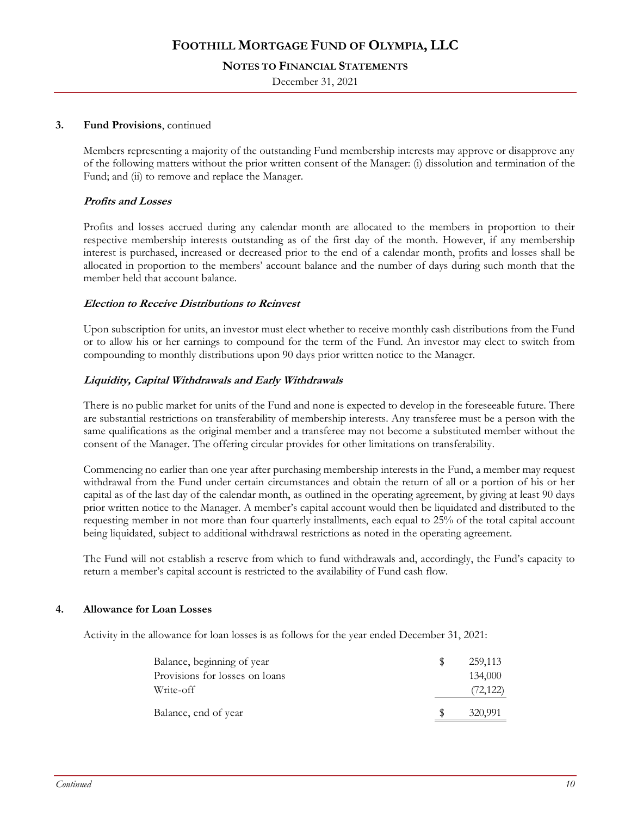#### **NOTES TO FINANCIAL STATEMENTS**

December 31, 2021

#### **3. Fund Provisions**, continued

Members representing a majority of the outstanding Fund membership interests may approve or disapprove any of the following matters without the prior written consent of the Manager: (i) dissolution and termination of the Fund; and (ii) to remove and replace the Manager.

#### **Profits and Losses**

Profits and losses accrued during any calendar month are allocated to the members in proportion to their respective membership interests outstanding as of the first day of the month. However, if any membership interest is purchased, increased or decreased prior to the end of a calendar month, profits and losses shall be allocated in proportion to the members' account balance and the number of days during such month that the member held that account balance.

#### **Election to Receive Distributions to Reinvest**

Upon subscription for units, an investor must elect whether to receive monthly cash distributions from the Fund or to allow his or her earnings to compound for the term of the Fund. An investor may elect to switch from compounding to monthly distributions upon 90 days prior written notice to the Manager.

#### **Liquidity, Capital Withdrawals and Early Withdrawals**

There is no public market for units of the Fund and none is expected to develop in the foreseeable future. There are substantial restrictions on transferability of membership interests. Any transferee must be a person with the same qualifications as the original member and a transferee may not become a substituted member without the consent of the Manager. The offering circular provides for other limitations on transferability.

Commencing no earlier than one year after purchasing membership interests in the Fund, a member may request withdrawal from the Fund under certain circumstances and obtain the return of all or a portion of his or her capital as of the last day of the calendar month, as outlined in the operating agreement, by giving at least 90 days prior written notice to the Manager. A member's capital account would then be liquidated and distributed to the requesting member in not more than four quarterly installments, each equal to 25% of the total capital account being liquidated, subject to additional withdrawal restrictions as noted in the operating agreement.

The Fund will not establish a reserve from which to fund withdrawals and, accordingly, the Fund's capacity to return a member's capital account is restricted to the availability of Fund cash flow.

#### **4. Allowance for Loan Losses**

Activity in the allowance for loan losses is as follows for the year ended December 31, 2021:

| Balance, beginning of year     | 259,113  |
|--------------------------------|----------|
| Provisions for losses on loans | 134,000  |
| Write-off                      | (72,122) |
| Balance, end of year           | 320,991  |
|                                |          |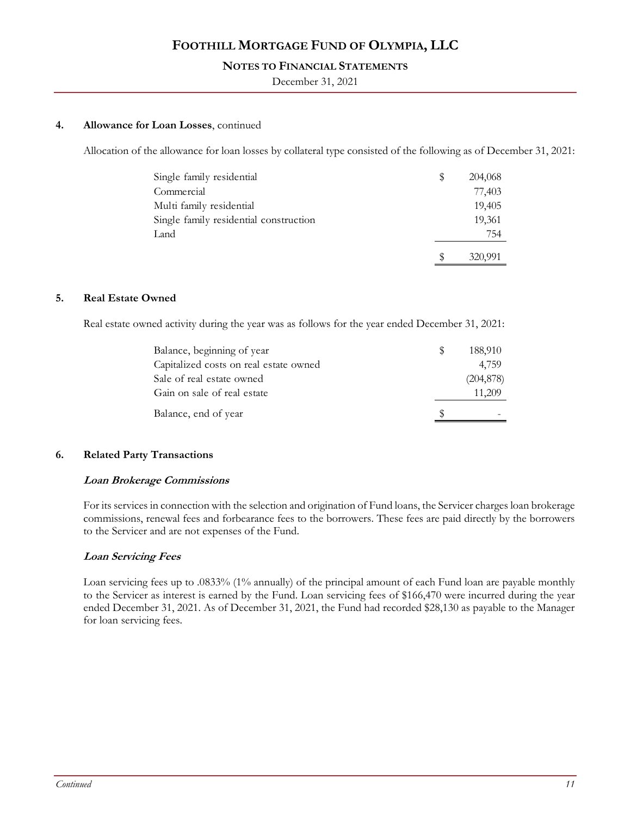#### **NOTES TO FINANCIAL STATEMENTS**

December 31, 2021

#### **4. Allowance for Loan Losses**, continued

Allocation of the allowance for loan losses by collateral type consisted of the following as of December 31, 2021:

| Single family residential              | S | 204,068 |
|----------------------------------------|---|---------|
| Commercial                             |   | 77,403  |
| Multi family residential               |   | 19,405  |
| Single family residential construction |   | 19,361  |
| Land                                   |   | 754     |
|                                        |   | 320,991 |

#### **5. Real Estate Owned**

Real estate owned activity during the year was as follows for the year ended December 31, 2021:

| Balance, beginning of year             |   | 188,910    |
|----------------------------------------|---|------------|
| Capitalized costs on real estate owned |   | 4.759      |
| Sale of real estate owned              |   | (204, 878) |
| Gain on sale of real estate            |   | 11,209     |
| Balance, end of year                   | Ж |            |

#### **6. Related Party Transactions**

#### **Loan Brokerage Commissions**

For its services in connection with the selection and origination of Fund loans, the Servicer charges loan brokerage commissions, renewal fees and forbearance fees to the borrowers. These fees are paid directly by the borrowers to the Servicer and are not expenses of the Fund.

#### **Loan Servicing Fees**

Loan servicing fees up to .0833% (1% annually) of the principal amount of each Fund loan are payable monthly to the Servicer as interest is earned by the Fund. Loan servicing fees of \$166,470 were incurred during the year ended December 31, 2021. As of December 31, 2021, the Fund had recorded \$28,130 as payable to the Manager for loan servicing fees.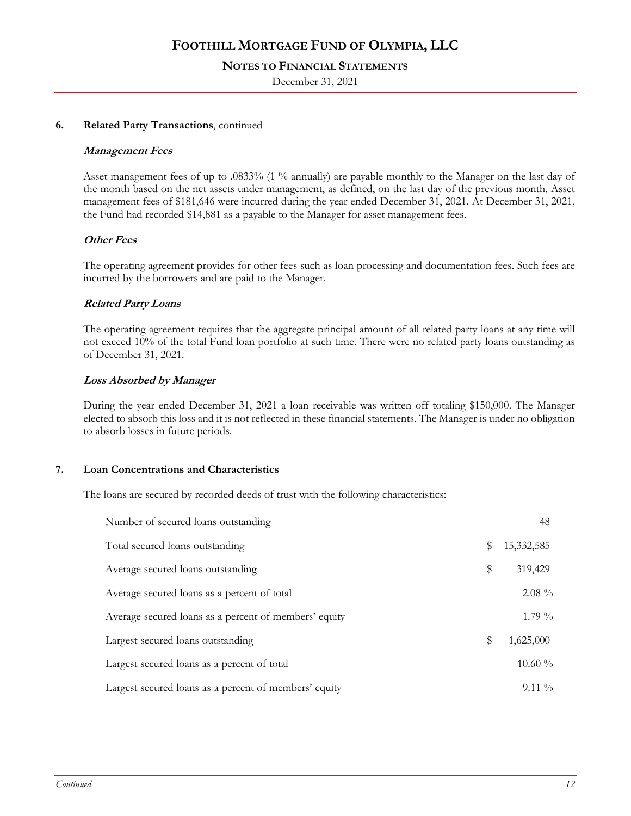#### **NOTES TO FINANCIAL STATEMENTS**

December 31, 2021

#### **6. Related Party Transactions**, continued

#### **Management Fees**

Asset management fees of up to .0833% (1 % annually) are payable monthly to the Manager on the last day of the month based on the net assets under management, as defined, on the last day of the previous month. Asset management fees of \$181,646 were incurred during the year ended December 31, 2021. At December 31, 2021, the Fund had recorded \$14,881 as a payable to the Manager for asset management fees.

#### **Other Fees**

The operating agreement provides for other fees such as loan processing and documentation fees. Such fees are incurred by the borrowers and are paid to the Manager.

#### **Related Party Loans**

The operating agreement requires that the aggregate principal amount of all related party loans at any time will not exceed 10% of the total Fund loan portfolio at such time. There were no related party loans outstanding as of December 31, 2021.

#### **Loss Absorbed by Manager**

During the year ended December 31, 2021 a loan receivable was written off totaling \$150,000. The Manager elected to absorb this loss and it is not reflected in these financial statements. The Manager is under no obligation to absorb losses in future periods.

#### **7. Loan Concentrations and Characteristics**

The loans are secured by recorded deeds of trust with the following characteristics:

| Number of secured loans outstanding                   | 48               |
|-------------------------------------------------------|------------------|
| Total secured loans outstanding                       | \$<br>15,332,585 |
| Average secured loans outstanding                     | \$<br>319,429    |
| Average secured loans as a percent of total           | $2.08\%$         |
| Average secured loans as a percent of members' equity | 1.79 %           |
| Largest secured loans outstanding                     | \$<br>1,625,000  |
| Largest secured loans as a percent of total           | $10.60\%$        |
| Largest secured loans as a percent of members' equity | $9.11\%$         |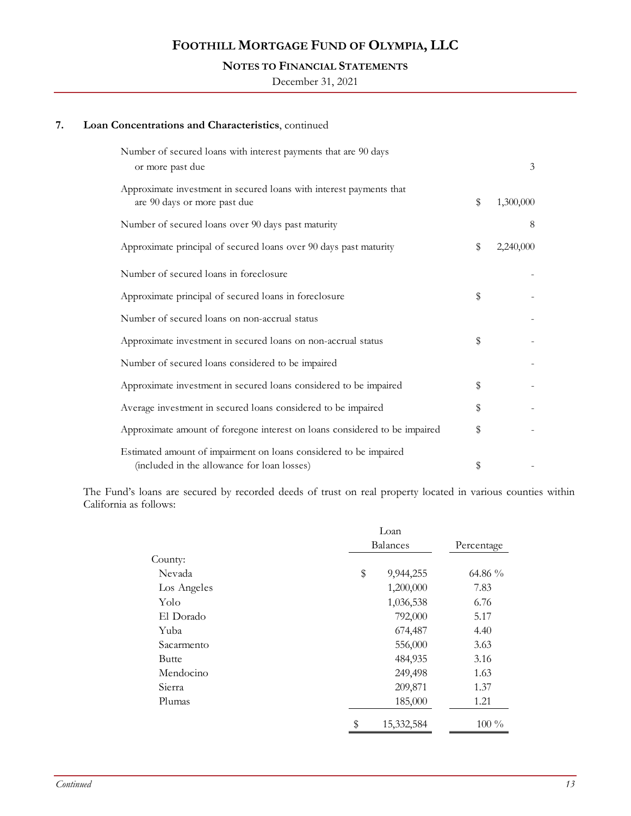#### **NOTES TO FINANCIAL STATEMENTS**

December 31, 2021

#### **7. Loan Concentrations and Characteristics**, continued

| Number of secured loans with interest payments that are 90 days<br>or more past due                              | 3               |
|------------------------------------------------------------------------------------------------------------------|-----------------|
| Approximate investment in secured loans with interest payments that<br>are 90 days or more past due              | \$<br>1,300,000 |
| Number of secured loans over 90 days past maturity                                                               | 8               |
| Approximate principal of secured loans over 90 days past maturity                                                | \$<br>2,240,000 |
| Number of secured loans in foreclosure                                                                           |                 |
| Approximate principal of secured loans in foreclosure                                                            | \$              |
| Number of secured loans on non-accrual status                                                                    |                 |
| Approximate investment in secured loans on non-accrual status                                                    | \$              |
| Number of secured loans considered to be impaired                                                                |                 |
| Approximate investment in secured loans considered to be impaired                                                | \$              |
| Average investment in secured loans considered to be impaired                                                    | \$              |
| Approximate amount of foregone interest on loans considered to be impaired                                       | \$              |
| Estimated amount of impairment on loans considered to be impaired<br>(included in the allowance for loan losses) | \$              |

The Fund's loans are secured by recorded deeds of trust on real property located in various counties within California as follows:

| Loan         |    |                 |            |
|--------------|----|-----------------|------------|
|              |    | <b>Balances</b> |            |
| County:      |    |                 |            |
| Nevada       | \$ | 9,944,255       | 64.86 $\%$ |
| Los Angeles  |    | 1,200,000       | 7.83       |
| Yolo         |    | 1,036,538       | 6.76       |
| El Dorado    |    | 792,000         | 5.17       |
| Yuba         |    | 674,487         | 4.40       |
| Sacarmento   |    | 556,000         | 3.63       |
| <b>Butte</b> |    | 484,935         | 3.16       |
| Mendocino    |    | 249,498         | 1.63       |
| Sierra       |    | 209,871         | 1.37       |
| Plumas       |    | 185,000         | 1.21       |
|              | \$ | 15,332,584      | $100\%$    |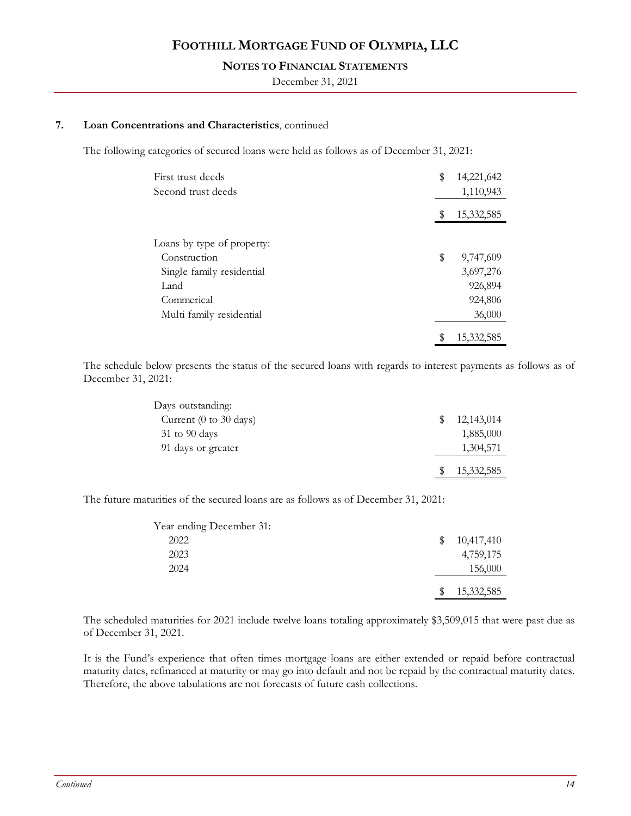#### **NOTES TO FINANCIAL STATEMENTS**

December 31, 2021

#### **7. Loan Concentrations and Characteristics**, continued

The following categories of secured loans were held as follows as of December 31, 2021:

| First trust deeds          | \$ | 14,221,642 |
|----------------------------|----|------------|
| Second trust deeds         |    | 1,110,943  |
|                            | S  | 15,332,585 |
|                            |    |            |
| Loans by type of property: |    |            |
| Construction               | \$ | 9,747,609  |
| Single family residential  |    | 3,697,276  |
| Land                       |    | 926,894    |
| Commerical                 |    | 924,806    |
| Multi family residential   |    | 36,000     |
|                            | S  | 15,332,585 |

The schedule below presents the status of the secured loans with regards to interest payments as follows as of December 31, 2021:

| Days outstanding:                         |            |
|-------------------------------------------|------------|
| Current $(0 \text{ to } 30 \text{ days})$ | 12,143,014 |
| $31$ to $90$ days                         | 1,885,000  |
| 91 days or greater                        | 1,304,571  |
|                                           | 15,332,585 |

The future maturities of the secured loans are as follows as of December 31, 2021:

| Year ending December 31: |    |            |
|--------------------------|----|------------|
| 2022                     | S. | 10,417,410 |
| 2023                     |    | 4,759,175  |
| 2024                     |    | 156,000    |
|                          |    | 15,332,585 |

The scheduled maturities for 2021 include twelve loans totaling approximately \$3,509,015 that were past due as of December 31, 2021.

It is the Fund's experience that often times mortgage loans are either extended or repaid before contractual maturity dates, refinanced at maturity or may go into default and not be repaid by the contractual maturity dates. Therefore, the above tabulations are not forecasts of future cash collections.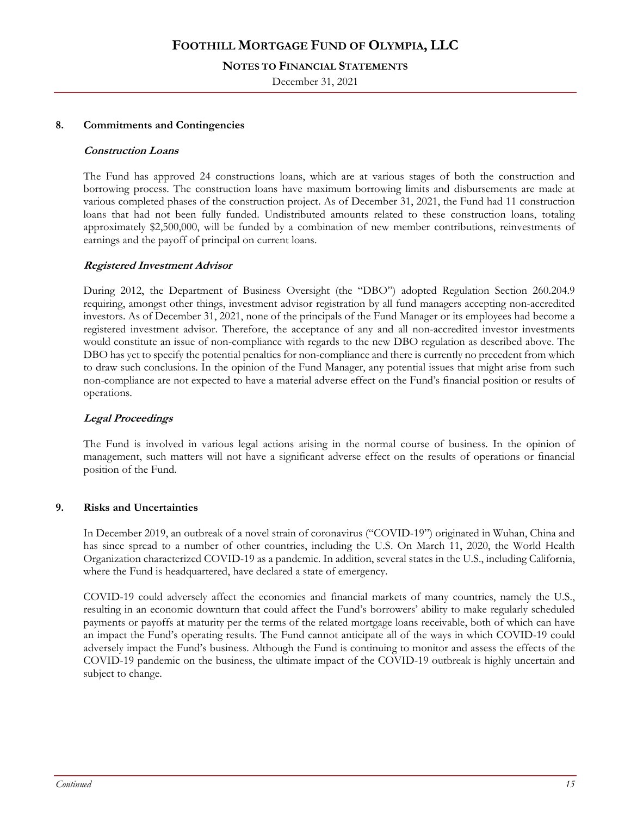#### **NOTES TO FINANCIAL STATEMENTS**

December 31, 2021

#### **8. Commitments and Contingencies**

#### **Construction Loans**

The Fund has approved 24 constructions loans, which are at various stages of both the construction and borrowing process. The construction loans have maximum borrowing limits and disbursements are made at various completed phases of the construction project. As of December 31, 2021, the Fund had 11 construction loans that had not been fully funded. Undistributed amounts related to these construction loans, totaling approximately \$2,500,000, will be funded by a combination of new member contributions, reinvestments of earnings and the payoff of principal on current loans.

#### **Registered Investment Advisor**

During 2012, the Department of Business Oversight (the "DBO") adopted Regulation Section 260.204.9 requiring, amongst other things, investment advisor registration by all fund managers accepting non-accredited investors. As of December 31, 2021, none of the principals of the Fund Manager or its employees had become a registered investment advisor. Therefore, the acceptance of any and all non-accredited investor investments would constitute an issue of non-compliance with regards to the new DBO regulation as described above. The DBO has yet to specify the potential penalties for non-compliance and there is currently no precedent from which to draw such conclusions. In the opinion of the Fund Manager, any potential issues that might arise from such non-compliance are not expected to have a material adverse effect on the Fund's financial position or results of operations.

#### **Legal Proceedings**

The Fund is involved in various legal actions arising in the normal course of business. In the opinion of management, such matters will not have a significant adverse effect on the results of operations or financial position of the Fund.

#### **9. Risks and Uncertainties**

In December 2019, an outbreak of a novel strain of coronavirus ("COVID-19") originated in Wuhan, China and has since spread to a number of other countries, including the U.S. On March 11, 2020, the World Health Organization characterized COVID-19 as a pandemic. In addition, several states in the U.S., including California, where the Fund is headquartered, have declared a state of emergency.

COVID-19 could adversely affect the economies and financial markets of many countries, namely the U.S., resulting in an economic downturn that could affect the Fund's borrowers' ability to make regularly scheduled payments or payoffs at maturity per the terms of the related mortgage loans receivable, both of which can have an impact the Fund's operating results. The Fund cannot anticipate all of the ways in which COVID-19 could adversely impact the Fund's business. Although the Fund is continuing to monitor and assess the effects of the COVID-19 pandemic on the business, the ultimate impact of the COVID-19 outbreak is highly uncertain and subject to change.